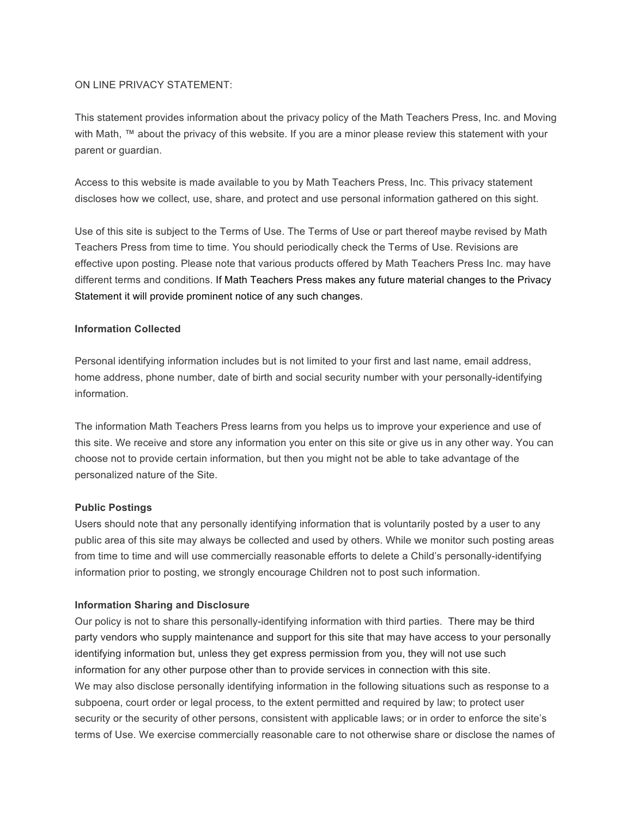## ON LINE PRIVACY STATEMENT:

This statement provides information about the privacy policy of the Math Teachers Press, Inc. and Moving with Math, ™ about the privacy of this website. If you are a minor please review this statement with your parent or guardian.

Access to this website is made available to you by Math Teachers Press, Inc. This privacy statement discloses how we collect, use, share, and protect and use personal information gathered on this sight.

Use of this site is subject to the Terms of Use. The Terms of Use or part thereof maybe revised by Math Teachers Press from time to time. You should periodically check the Terms of Use. Revisions are effective upon posting. Please note that various products offered by Math Teachers Press Inc. may have different terms and conditions. If Math Teachers Press makes any future material changes to the Privacy Statement it will provide prominent notice of any such changes.

## **Information Collected**

Personal identifying information includes but is not limited to your first and last name, email address, home address, phone number, date of birth and social security number with your personally-identifying information.

The information Math Teachers Press learns from you helps us to improve your experience and use of this site. We receive and store any information you enter on this site or give us in any other way. You can choose not to provide certain information, but then you might not be able to take advantage of the personalized nature of the Site.

## **Public Postings**

Users should note that any personally identifying information that is voluntarily posted by a user to any public area of this site may always be collected and used by others. While we monitor such posting areas from time to time and will use commercially reasonable efforts to delete a Child's personally-identifying information prior to posting, we strongly encourage Children not to post such information.

## **Information Sharing and Disclosure**

Our policy is not to share this personally-identifying information with third parties. There may be third party vendors who supply maintenance and support for this site that may have access to your personally identifying information but, unless they get express permission from you, they will not use such information for any other purpose other than to provide services in connection with this site. We may also disclose personally identifying information in the following situations such as response to a subpoena, court order or legal process, to the extent permitted and required by law; to protect user security or the security of other persons, consistent with applicable laws; or in order to enforce the site's terms of Use. We exercise commercially reasonable care to not otherwise share or disclose the names of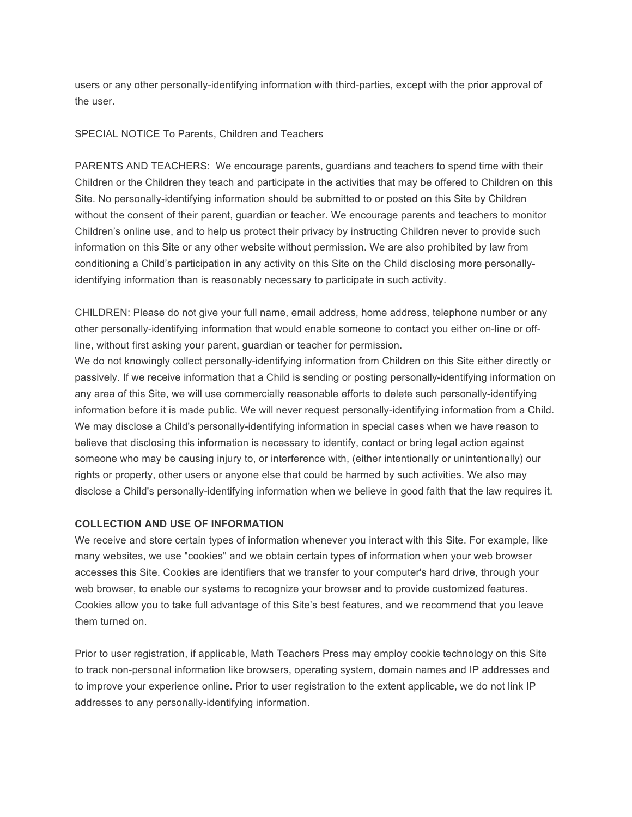users or any other personally-identifying information with third-parties, except with the prior approval of the user.

## SPECIAL NOTICE To Parents, Children and Teachers

PARENTS AND TEACHERS: We encourage parents, guardians and teachers to spend time with their Children or the Children they teach and participate in the activities that may be offered to Children on this Site. No personally-identifying information should be submitted to or posted on this Site by Children without the consent of their parent, guardian or teacher. We encourage parents and teachers to monitor Children's online use, and to help us protect their privacy by instructing Children never to provide such information on this Site or any other website without permission. We are also prohibited by law from conditioning a Child's participation in any activity on this Site on the Child disclosing more personallyidentifying information than is reasonably necessary to participate in such activity.

CHILDREN: Please do not give your full name, email address, home address, telephone number or any other personally-identifying information that would enable someone to contact you either on-line or offline, without first asking your parent, guardian or teacher for permission.

We do not knowingly collect personally-identifying information from Children on this Site either directly or passively. If we receive information that a Child is sending or posting personally-identifying information on any area of this Site, we will use commercially reasonable efforts to delete such personally-identifying information before it is made public. We will never request personally-identifying information from a Child. We may disclose a Child's personally-identifying information in special cases when we have reason to believe that disclosing this information is necessary to identify, contact or bring legal action against someone who may be causing injury to, or interference with, (either intentionally or unintentionally) our rights or property, other users or anyone else that could be harmed by such activities. We also may disclose a Child's personally-identifying information when we believe in good faith that the law requires it.

## **COLLECTION AND USE OF INFORMATION**

We receive and store certain types of information whenever you interact with this Site. For example, like many websites, we use "cookies" and we obtain certain types of information when your web browser accesses this Site. Cookies are identifiers that we transfer to your computer's hard drive, through your web browser, to enable our systems to recognize your browser and to provide customized features. Cookies allow you to take full advantage of this Site's best features, and we recommend that you leave them turned on.

Prior to user registration, if applicable, Math Teachers Press may employ cookie technology on this Site to track non-personal information like browsers, operating system, domain names and IP addresses and to improve your experience online. Prior to user registration to the extent applicable, we do not link IP addresses to any personally-identifying information.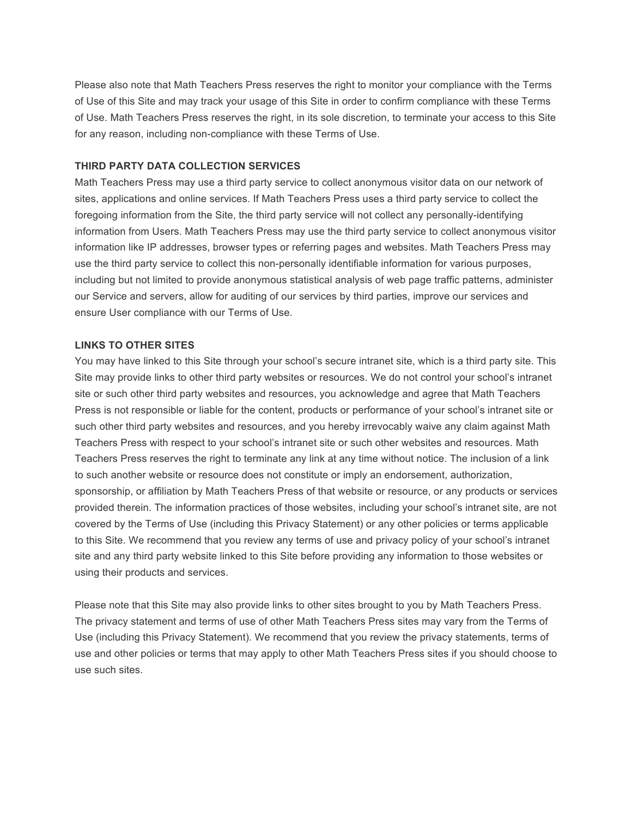Please also note that Math Teachers Press reserves the right to monitor your compliance with the Terms of Use of this Site and may track your usage of this Site in order to confirm compliance with these Terms of Use. Math Teachers Press reserves the right, in its sole discretion, to terminate your access to this Site for any reason, including non-compliance with these Terms of Use.

## **THIRD PARTY DATA COLLECTION SERVICES**

Math Teachers Press may use a third party service to collect anonymous visitor data on our network of sites, applications and online services. If Math Teachers Press uses a third party service to collect the foregoing information from the Site, the third party service will not collect any personally-identifying information from Users. Math Teachers Press may use the third party service to collect anonymous visitor information like IP addresses, browser types or referring pages and websites. Math Teachers Press may use the third party service to collect this non-personally identifiable information for various purposes, including but not limited to provide anonymous statistical analysis of web page traffic patterns, administer our Service and servers, allow for auditing of our services by third parties, improve our services and ensure User compliance with our Terms of Use.

#### **LINKS TO OTHER SITES**

You may have linked to this Site through your school's secure intranet site, which is a third party site. This Site may provide links to other third party websites or resources. We do not control your school's intranet site or such other third party websites and resources, you acknowledge and agree that Math Teachers Press is not responsible or liable for the content, products or performance of your school's intranet site or such other third party websites and resources, and you hereby irrevocably waive any claim against Math Teachers Press with respect to your school's intranet site or such other websites and resources. Math Teachers Press reserves the right to terminate any link at any time without notice. The inclusion of a link to such another website or resource does not constitute or imply an endorsement, authorization, sponsorship, or affiliation by Math Teachers Press of that website or resource, or any products or services provided therein. The information practices of those websites, including your school's intranet site, are not covered by the Terms of Use (including this Privacy Statement) or any other policies or terms applicable to this Site. We recommend that you review any terms of use and privacy policy of your school's intranet site and any third party website linked to this Site before providing any information to those websites or using their products and services.

Please note that this Site may also provide links to other sites brought to you by Math Teachers Press. The privacy statement and terms of use of other Math Teachers Press sites may vary from the Terms of Use (including this Privacy Statement). We recommend that you review the privacy statements, terms of use and other policies or terms that may apply to other Math Teachers Press sites if you should choose to use such sites.